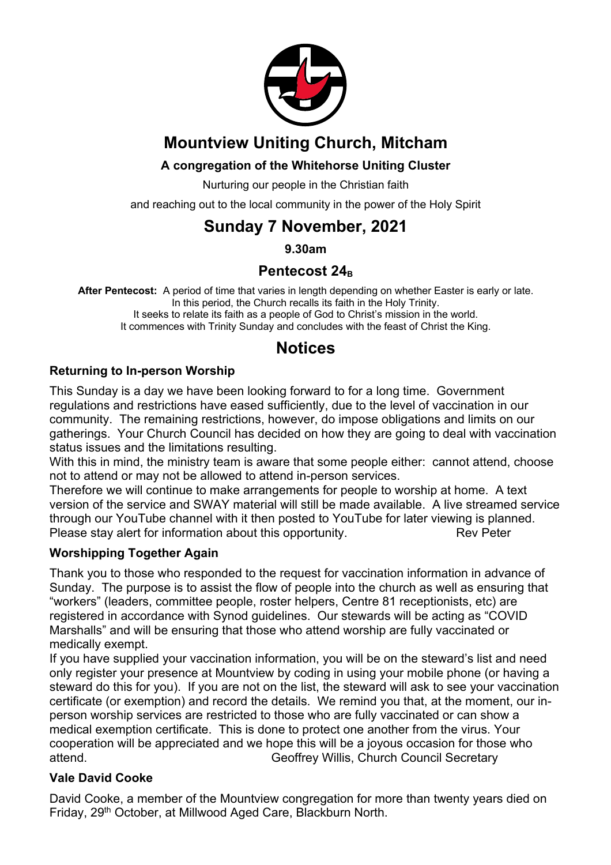

## **Mountview Uniting Church, Mitcham**

### **A congregation of the Whitehorse Uniting Cluster**

Nurturing our people in the Christian faith

and reaching out to the local community in the power of the Holy Spirit

## **Sunday 7 November, 2021**

**9.30am**

### Pentecost 24<sub>B</sub>

**After Pentecost:** A period of time that varies in length depending on whether Easter is early or late. In this period, the Church recalls its faith in the Holy Trinity. It seeks to relate its faith as a people of God to Christ's mission in the world. It commences with Trinity Sunday and concludes with the feast of Christ the King.

## **Notices**

#### **Returning to In-person Worship**

This Sunday is a day we have been looking forward to for a long time. Government regulations and restrictions have eased sufficiently, due to the level of vaccination in our community. The remaining restrictions, however, do impose obligations and limits on our gatherings. Your Church Council has decided on how they are going to deal with vaccination status issues and the limitations resulting.

With this in mind, the ministry team is aware that some people either: cannot attend, choose not to attend or may not be allowed to attend in-person services.

Therefore we will continue to make arrangements for people to worship at home. A text version of the service and SWAY material will still be made available. A live streamed service through our YouTube channel with it then posted to YouTube for later viewing is planned. Please stay alert for information about this opportunity. Rev Peter

#### **Worshipping Together Again**

Thank you to those who responded to the request for vaccination information in advance of Sunday. The purpose is to assist the flow of people into the church as well as ensuring that "workers" (leaders, committee people, roster helpers, Centre 81 receptionists, etc) are registered in accordance with Synod guidelines. Our stewards will be acting as "COVID Marshalls" and will be ensuring that those who attend worship are fully vaccinated or medically exempt.

If you have supplied your vaccination information, you will be on the steward's list and need only register your presence at Mountview by coding in using your mobile phone (or having a steward do this for you). If you are not on the list, the steward will ask to see your vaccination certificate (or exemption) and record the details. We remind you that, at the moment, our inperson worship services are restricted to those who are fully vaccinated or can show a medical exemption certificate. This is done to protect one another from the virus. Your cooperation will be appreciated and we hope this will be a joyous occasion for those who attend. Geoffrey Willis, Church Council Secretary

#### **Vale David Cooke**

David Cooke, a member of the Mountview congregation for more than twenty years died on Friday, 29th October, at Millwood Aged Care, Blackburn North.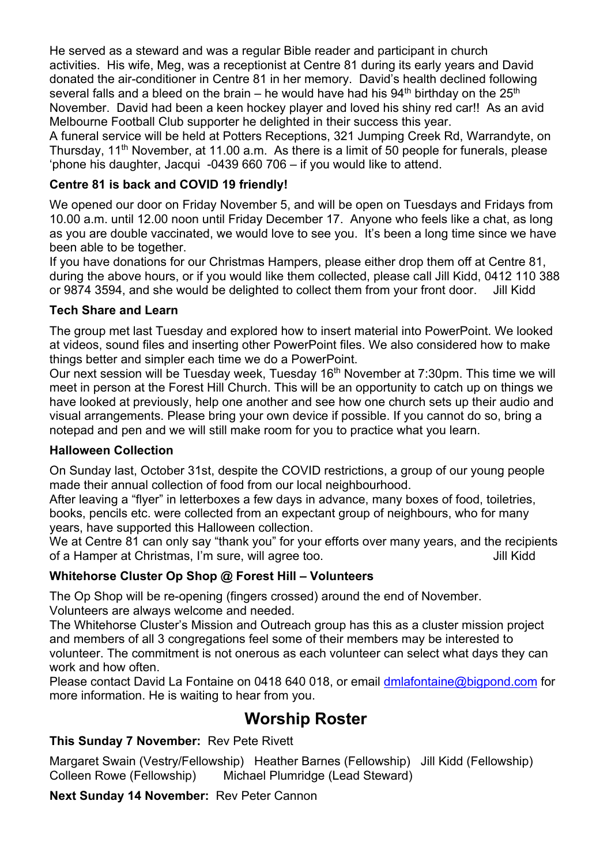He served as a steward and was a regular Bible reader and participant in church activities. His wife, Meg, was a receptionist at Centre 81 during its early years and David donated the air-conditioner in Centre 81 in her memory. David's health declined following several falls and a bleed on the brain – he would have had his  $94<sup>th</sup>$  birthday on the  $25<sup>th</sup>$ November. David had been a keen hockey player and loved his shiny red car!! As an avid Melbourne Football Club supporter he delighted in their success this year.

A funeral service will be held at Potters Receptions, 321 Jumping Creek Rd, Warrandyte, on Thursday, 11<sup>th</sup> November, at 11.00 a.m. As there is a limit of 50 people for funerals, please 'phone his daughter, Jacqui -0439 660 706 – if you would like to attend.

#### **Centre 81 is back and COVID 19 friendly!**

We opened our door on Friday November 5, and will be open on Tuesdays and Fridays from 10.00 a.m. until 12.00 noon until Friday December 17. Anyone who feels like a chat, as long as you are double vaccinated, we would love to see you. It's been a long time since we have been able to be together.

If you have donations for our Christmas Hampers, please either drop them off at Centre 81, during the above hours, or if you would like them collected, please call Jill Kidd, 0412 110 388 or 9874 3594, and she would be delighted to collect them from your front door. Jill Kidd

#### **Tech Share and Learn**

The group met last Tuesday and explored how to insert material into PowerPoint. We looked at videos, sound files and inserting other PowerPoint files. We also considered how to make things better and simpler each time we do a PowerPoint.

Our next session will be Tuesday week, Tuesday 16<sup>th</sup> November at 7:30pm. This time we will meet in person at the Forest Hill Church. This will be an opportunity to catch up on things we have looked at previously, help one another and see how one church sets up their audio and visual arrangements. Please bring your own device if possible. If you cannot do so, bring a notepad and pen and we will still make room for you to practice what you learn.

#### **Halloween Collection**

On Sunday last, October 31st, despite the COVID restrictions, a group of our young people made their annual collection of food from our local neighbourhood.

After leaving a "flyer" in letterboxes a few days in advance, many boxes of food, toiletries, books, pencils etc. were collected from an expectant group of neighbours, who for many years, have supported this Halloween collection.

We at Centre 81 can only say "thank you" for your efforts over many years, and the recipients of a Hamper at Christmas, I'm sure, will agree too. July 1997 and Muslim Still Kidd

#### **Whitehorse Cluster Op Shop @ Forest Hill – Volunteers**

The Op Shop will be re-opening (fingers crossed) around the end of November. Volunteers are always welcome and needed.

The Whitehorse Cluster's Mission and Outreach group has this as a cluster mission project and members of all 3 congregations feel some of their members may be interested to volunteer. The commitment is not onerous as each volunteer can select what days they can work and how often.

Please contact David La Fontaine on 0418 640 018, or email dmlafontaine@bigpond.com for more information. He is waiting to hear from you.

## **Worship Roster**

#### **This Sunday 7 November:** Rev Pete Rivett

Margaret Swain (Vestry/Fellowship) Heather Barnes (Fellowship) Jill Kidd (Fellowship) Colleen Rowe (Fellowship) Michael Plumridge (Lead Steward)

**Next Sunday 14 November:** Rev Peter Cannon